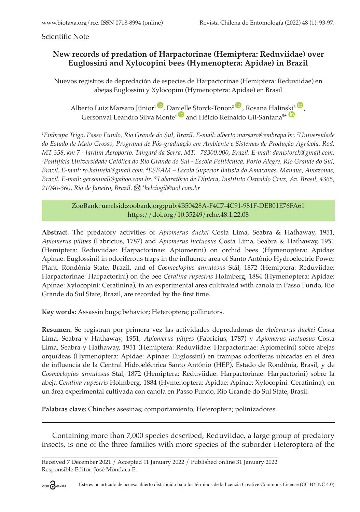Scientific Note

## **New records of predation of Harpactorinae (Hemiptera: Reduviidae) over Euglossini and Xylocopini bees (Hymenoptera: Apidae) in Brazil**

Nuevos registros de depredación de especies de Harpactorinae (Hemiptera: Reduviidae) en abejas Euglossini y Xylocopini (Hymenoptera: Apidae) en Brasil

Alberto Luiz Marsaro Júnior<sup>1</sup> , Danielle Storck-Tonon<sup>2</sup> , Rosana Halin[ski](https://orcid.org/0000-0002-0544-348X)<sup>3</sup> , Gersonval Leandro Silva Monte<sup>4</sup> and Hélcio Reinaldo Gil-Santana<sup>5\*</sup>

*1 Embrapa Trigo, Passo Fundo, Rio Grande do Sul, Brazil. E-mail: alberto.marsaro@embrapa.br*. *<sup>2</sup> Universidade do Estado de Mato Grosso, Programa de Pós-graduação em Ambiente e Sistemas de Produção Agrícola, Rod. MT 358, km 7 - Jardim Aeroporto, Tangará da Serra, MT. 78300.000, Brazil. E-mail: danistorck@gmail.com. 3 Pontifícia Universidade Católica do Rio Grande do Sul - Escola Politécnica, Porto Alegre, Rio Grande do Sul, Brazil. E-mail: [ro.halinski@gmail.com.](mailto:ro.halinski@gmail.com) <sup>4</sup> ESBAM – Escola Superior Batista do Amazonas, Manaus, Amazonas, Brazil. E-mail: gersonvall@yahoo.com.br*. *5\*Laboratório de Diptera, Instituto Oswaldo Cruz, Av. Brasil, 4365, 21040-360, Rio de Janeiro, Brazil.\*helciogil@uol.com.br*

> ZooBank: urn:lsid:zoobank.org:pub:4B50428A-F4C7-4C91-981F-DEB01E76FA61 <https://doi.org/10.35249/rche.48.1.22.08>

**Abstract.** The predatory activities of *Apiomerus duckei* Costa Lima, Seabra & Hathaway, 1951*, Apiomerus pilipes* (Fabricius, 1787) and *Apiomerus luctuosus* Costa Lima, Seabra & Hathaway, 1951 (Hemiptera: Reduviidae: Harpactorinae: Apiomerini) on orchid bees (Hymenoptera: Apidae: Apinae: Euglossini) in odoriferous traps in the influence area of Santo Antônio Hydroelectric Power Plant, Rondônia State, Brazil, and of *Cosmoclopius annulosus* Stål, 1872 (Hemiptera: Reduviidae: Harpactorinae: Harpactorini) on the bee *Ceratina rupestris* Holmberg, 1884 (Hymenoptera: Apidae: Apinae: Xylocopini: Ceratinina), in an experimental area cultivated with canola in Passo Fundo, Rio Grande do Sul State, Brazil, are recorded by the first time.

**Key words:** Assassin bugs; behavior; Heteroptera; pollinators.

**Resumen.** Se registran por primera vez las actividades depredadoras de *Apiomerus duckei* Costa Lima, Seabra y Hathaway, 1951, *Apiomerus pilipes* (Fabricius, 1787) y *Apiomerus luctuosus* Costa Lima, Seabra y Hathaway, 1951 (Hemiptera: Reduviidae: Harpactorinae: Apiomerini) sobre abejas orquídeas (Hymenoptera: Apidae: Apinae: Euglossini) en trampas odoríferas ubicadas en el área de influencia de la Central Hidroeléctrica Santo Antônio (HEP), Estado de Rondônia, Brasil, y de *Cosmoclopius annulosus* Stål, 1872 (Hemiptera: Reduviidae: Harpactorinae: Harpactorini) sobre la abeja *Ceratina rupestris* Holmberg, 1884 (Hymenoptera: Apidae: Apinae: Xylocopini: Ceratinina), en un área experimental cultivada con canola en Passo Fundo, Rio Grande do Sul State, Brasil.

**Palabras clave:** Chinches asesinas; comportamiento; Heteroptera; polinizadores.

Containing more than 7,000 species described, Reduviidae, a large group of predatory insects, is one of the three families with more species of the suborder Heteroptera of the

Received 7 December 2021 / Accepted 11 January 2022 / Published online 31 January 2022 Responsible Editor: José Mondaca E.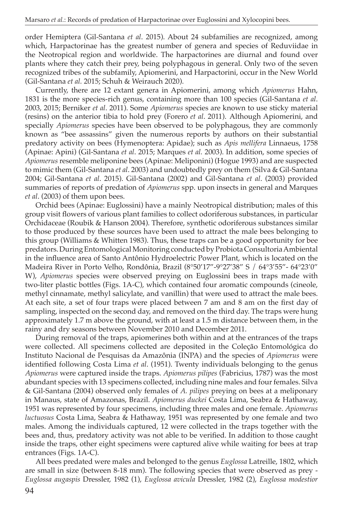order Hemiptera (Gil-Santana *et al*. 2015). About 24 subfamilies are recognized, among which, Harpactorinae has the greatest number of genera and species of Reduviidae in the Neotropical region and worldwide. The harpactorines are diurnal and found over plants where they catch their prey, being polyphagous in general. Only two of the seven recognized tribes of the subfamily, Apiomerini, and Harpactorini, occur in the New World (Gil-Santana *et al.* 2015; Schuh & Weirauch 2020).

Currently, there are 12 extant genera in Apiomerini, among which *Apiomerus* Hahn, 1831 is the more species-rich genus, containing more than 100 species (Gil-Santana *et al*. 2003, 2015; Berniker *et al*. 2011). Some *Apiomerus* species are known to use sticky material (resins) on the anterior tibia to hold prey (Forero *et al*. 2011). Although Apiomerini, and specially *Apiomerus* species have been observed to be polyphagous, they are commonly known as "bee assassins" given the numerous reports by authors on their substantial predatory activity on bees (Hymenoptera: Apidae); such as *Apis mellifera* Linnaeus, 1758 (Apinae: Apini) (Gil-Santana *et al*. 2015; Marques *et al.* 2003). In addition, some species of *Apiomerus* resemble meliponine bees (Apinae: Meliponini) (Hogue 1993) and are suspected to mimic them (Gil-Santana *et al*. 2003) and undoubtedly prey on them (Silva & Gil-Santana 2004; Gil-Santana *et al*. 2015). Gil-Santana (2002) and Gil-Santana *et al*. (2003) provided summaries of reports of predation of *Apiomerus* spp. upon insects in general and Marques *et al*. (2003) of them upon bees.

Orchid bees (Apinae: Euglossini) have a mainly Neotropical distribution; males of this group visit flowers of various plant families to collect odoriferous substances, in particular Orchidaceae (Roubik & Hanson 2004). Therefore, synthetic odoriferous substances similar to those produced by these sources have been used to attract the male bees belonging to this group (Williams & Whitten 1983). Thus, these traps can be a good opportunity for bee predators.During Entomological Monitoring conducted by Probiota Consultoria Ambiental in the influence area of Santo Antônio Hydroelectric Power Plant, which is located on the Madeira River in Porto Velho, Rondônia, Brazil (8°50'17"-9°27'38" S / 64°3'55"- 64°23'0" W), *Apiomerus* species were observed preying on Euglossini bees in traps made with two-liter plastic bottles (Figs. 1A-C), which contained four aromatic compounds (cineole, methyl cinnamate, methyl salicylate, and vanillin) that were used to attract the male bees. At each site, a set of four traps were placed between 7 am and 8 am on the first day of sampling, inspected on the second day, and removed on the third day. The traps were hung approximately 1.7 m above the ground, with at least a 1.5 m distance between them, in the rainy and dry seasons between November 2010 and December 2011.

During removal of the traps, apiomerines both within and at the entrances of the traps were collected. All specimens collected are deposited in the Coleção Entomológica do Instituto Nacional de Pesquisas da Amazônia (INPA) and the species of *Apiomerus* were identified following Costa Lima *et al*. (1951). Twenty individuals belonging to the genus *Apiomerus* were captured inside the traps. *Apiomerus pilipes* (Fabricius, 1787) was the most abundant species with 13 specimens collected, including nine males and four females. Silva & Gil-Santana (2004) observed only females of *A. pilipes* preying on bees at a meliponary in Manaus, state of Amazonas, Brazil. *Apiomerus duckei* Costa Lima, Seabra & Hathaway, 1951 was represented by four specimens, including three males and one female. *Apiomerus luctuosus* Costa Lima, Seabra & Hathaway, 1951 was represented by one female and two males. Among the individuals captured, 12 were collected in the traps together with the bees and, thus, predatory activity was not able to be verified. In addition to those caught inside the traps, other eight specimens were captured alive while waiting for bees at trap entrances (Figs. 1A-C).

All bees predated were males and belonged to the genus *Euglossa* Latreille, 1802, which are small in size (between 8-18 mm). The following species that were observed as prey - *[Euglossa augaspis](http://moure.cria.org.br/catalogue?id=31571)* Dressler, 1982 (1), *[Euglossa](http://moure.cria.org.br/catalogue?id=31384) avicula* Dressler, 1982 (2), *[Euglossa modestior](http://moure.cria.org.br/catalogue?id=31417)*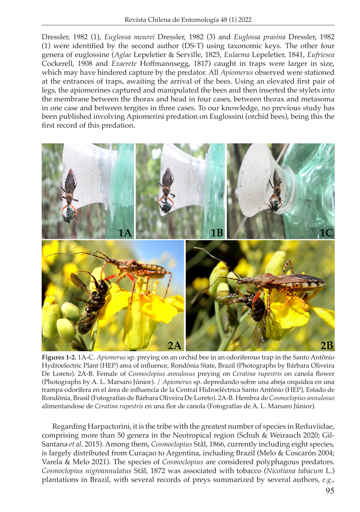Dressler, 1982 (1), *Euglossa mourei* Dressler, 1982 (3) and *[Euglossa prasina](http://moure.cria.org.br/catalogue?id=31557)* Dressler, 1982 (1) were identified by the second author (DS-T) using taxonomic keys. The other four genera of euglossine (*Aglae* Lepeletier & Serville, 1825, *Eulaema* Lepeletier, 1841, *Eufriesea*  Cockerell, 1908 and *Exaerete* Hoffmannsegg, 1817) caught in traps were larger in size, which may have hindered capture by the predator. All *Apiomerus* observed were stationed at the entrances of traps, awaiting the arrival of the bees. Using an elevated first pair of legs, the apiomerines captured and manipulated the bees and then inserted the stylets into the membrane between the thorax and head in four cases, between thorax and metasoma in one case and between tergites in three cases. To our knowledge, no previous study has been published involving Apiomerini predation on Euglossini (orchid bees), being this the first record of this predation.



**Figures 1-2.** 1A-C. *Apiomerus* sp. preying on an orchid bee in an odoriferous trap in the Santo Antônio Hydroelectric Plant (HEP) area of influence, Rondônia State, Brazil (Photographs by Bárbara Oliveira De Loreto). 2A-B. Female of *Cosmoclopius annulosus* preying on *Ceratina rupestris* on canola flower (Photographs by A. L. Marsaro Júnior). / *Apiomerus* sp. depredando sobre una abeja orquídea en una trampa odorífera en el área de influencia de la Central Hidroeléctrica Santo Antônio (HEP), Estado de Rondônia, Brasil (Fotografías de Bárbara Oliveira De Loreto). 2A-B. Hembra de *Cosmoclopius annulosus* alimentandose de *Ceratina rupestris* en una flor de canola (Fotografías de A. L. Marsaro Júnior).

Regarding Harpactorini, it is the tribe with the greatest number of species in Reduviidae, comprising more than 50 genera in the Neotropical region (Schuh & Weirauch 2020; Gil-Santana *et al*. 2015). Among them, *Cosmoclopius* Stål, 1866, currently including eight species, is largely distributed from Curaçao to Argentina, including Brazil (Melo & Coscarón 2004; Varela & Melo 2021). The species of *Cosmoclopius* are considered polyphagous predators. *Cosmoclopius nigroannulatus* Stål, 1872 was associated with tobacco (*Nicotiana tabacum* L.) plantations in Brazil, with several records of preys summarized by several authors, *e.g*.,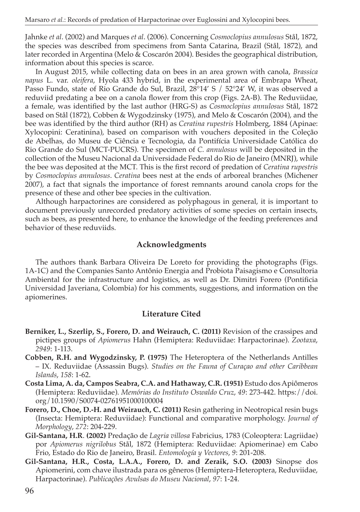Jahnke *et al*. (2002) and Marques *et al*. (2006). Concerning *Cosmoclopius annulosus* Stål, 1872, the species was described from specimens from Santa Catarina, Brazil (Stål, 1872), and later recorded in Argentina (Melo & Coscarón 2004). Besides the geographical distribution, information about this species is scarce.

In August 2015, while collecting data on bees in an area grown with canola, *Brassica napus* L. var. *oleifera*, Hyola 433 hybrid, in the experimental area of Embrapa Wheat, Passo Fundo, state of Rio Grande do Sul, Brazil, 28°14' S / 52°24' W, it was observed a reduviid predating a bee on a canola flower from this crop (Figs. 2A-B). The Reduviidae, a female, was identified by the last author (HRG-S) as *Cosmoclopius annulosus* Stål, 1872 based on Stål (1872), Cobben & Wygodzinsky (1975), and Melo & Coscarón (2004), and the bee was identified by the third author (RH) as *Ceratina rupestris* Holmberg, 1884 (Apinae: Xylocopini: Ceratinina), based on comparison with vouchers deposited in the Coleção de Abelhas, do Museu de Ciência e Tecnologia, da Pontifícia Universidade Católica do Rio Grande do Sul (MCT-PUCRS). The specimen of *C. annulosus* will be deposited in the collection of the Museu Nacional da Universidade Federal do Rio de Janeiro (MNRJ), while the bee was deposited at the MCT. This is the first record of predation of *Ceratina rupestris* by *Cosmoclopius annulosus*. *Ceratina* bees nest at the ends of arboreal branches (Michener 2007), a fact that signals the importance of forest remnants around canola crops for the presence of these and other bee species in the cultivation.

Although harpactorines are considered as polyphagous in general, it is important to document previously unrecorded predatory activities of some species on certain insects, such as bees, as presented here, to enhance the knowledge of the feeding preferences and behavior of these reduviids.

## **Acknowledgments**

The authors thank Barbara Oliveira De Loreto for providing the photographs (Figs. 1A-1C) and the Companies Santo Antônio Energia and Probiota Paisagismo e Consultoria Ambiental for the infrastructure and logistics, as well as Dr. Dimitri Forero (Pontificia Universidad Javeriana, Colombia) for his comments, suggestions, and information on the apiomerines.

## **Literature Cited**

- **Berniker, L., Szerlip, S., Forero, D. and Weirauch, C. (2011)** Revision of the crassipes and pictipes groups of *Apiomerus* Hahn (Hemiptera: Reduviidae: Harpactorinae). *Zootaxa*, *2949*: 1-113.
- **Cobben, R.H. and Wygodzinsky, P. (1975)** The Heteroptera of the Netherlands Antilles – IX. Reduviidae (Assassin Bugs). *Studies on the Fauna of Curaçao and other Caribbean Islands*, *158*: 1-62.
- **Costa Lima, A. da, Campos Seabra, C.A. and Hathaway, C.R. (1951)** Estudo dos Apiômeros (Hemiptera: Reduviidae). *Memórias do Instituto Oswaldo Cruz*, *49*: 273-442. [https://doi.](https://doi.org/10.1590/S0074-02761951000100004) [org/10.1590/S0074-02761951000100004](https://doi.org/10.1590/S0074-02761951000100004)
- **Forero, D., Choe, D.-H. and Weirauch, C. (2011)** Resin gathering in Neotropical resin bugs (Insecta: Hemiptera: Reduviidae): Functional and comparative morphology. *Journal of Morphology*, *272*: 204-229.
- **Gil-Santana, H.R**. **(2002)** Predação de *Lagria villosa* Fabricius, 1783 (Coleoptera: Lagriidae) por *Apiomerus nigrilobus* Stål, 1872 (Hemiptera: Reduviidae: Apiomerinae) em Cabo Frio, Estado do Rio de Janeiro, Brasil. *Entomología y Vectores*, *9*: 201-208.
- **Gil-Santana, H.R., Costa, L.A.A., Forero, D. and Zeraik, S.O. (2003)** Sinopse dos Apiomerini, com chave ilustrada para os gêneros (Hemiptera-Heteroptera, Reduviidae, Harpactorinae). *Publicações Avulsas do Museu Nacional*, *97*: 1-24.